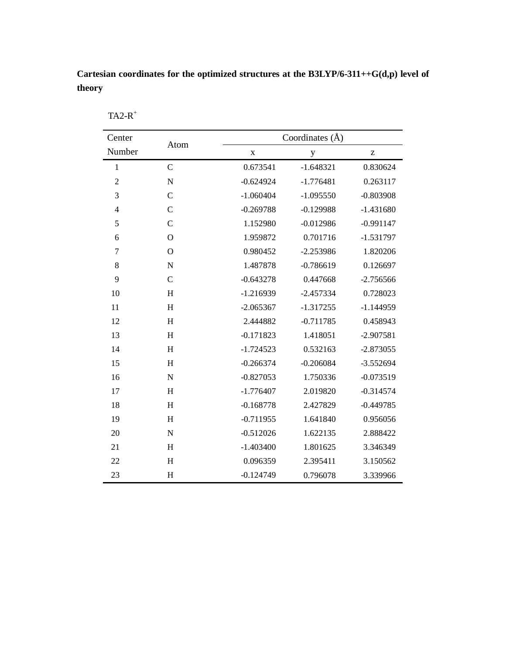## **Cartesian coordinates for the optimized structures at the B3LYP/6-311++G(d,p) level of theory**

| Center           | Atom          | Coordinates (Å) |             |             |  |
|------------------|---------------|-----------------|-------------|-------------|--|
| Number           |               | $\mathbf X$     | y           | z           |  |
| $\mathbf{1}$     | $\mathsf{C}$  | 0.673541        | $-1.648321$ | 0.830624    |  |
| $\overline{c}$   | $\mathbf N$   | $-0.624924$     | $-1.776481$ | 0.263117    |  |
| $\mathfrak{Z}$   | $\mathsf{C}$  | $-1.060404$     | $-1.095550$ | $-0.803908$ |  |
| $\overline{4}$   | $\mathsf{C}$  | $-0.269788$     | $-0.129988$ | $-1.431680$ |  |
| 5                | $\mathcal{C}$ | 1.152980        | $-0.012986$ | $-0.991147$ |  |
| 6                | $\mathbf O$   | 1.959872        | 0.701716    | $-1.531797$ |  |
| $\boldsymbol{7}$ | $\mathbf O$   | 0.980452        | $-2.253986$ | 1.820206    |  |
| 8                | $\mathbf N$   | 1.487878        | $-0.786619$ | 0.126697    |  |
| 9                | $\mathsf{C}$  | $-0.643278$     | 0.447668    | $-2.756566$ |  |
| 10               | H             | $-1.216939$     | $-2.457334$ | 0.728023    |  |
| 11               | H             | $-2.065367$     | $-1.317255$ | $-1.144959$ |  |
| 12               | H             | 2.444882        | $-0.711785$ | 0.458943    |  |
| 13               | H             | $-0.171823$     | 1.418051    | $-2.907581$ |  |
| 14               | H             | $-1.724523$     | 0.532163    | $-2.873055$ |  |
| 15               | H             | $-0.266374$     | $-0.206084$ | $-3.552694$ |  |
| 16               | $\mathbf N$   | $-0.827053$     | 1.750336    | $-0.073519$ |  |
| 17               | H             | $-1.776407$     | 2.019820    | $-0.314574$ |  |
| 18               | H             | $-0.168778$     | 2.427829    | $-0.449785$ |  |
| 19               | H             | $-0.711955$     | 1.641840    | 0.956056    |  |
| 20               | $\mathbf N$   | $-0.512026$     | 1.622135    | 2.888422    |  |
| 21               | H             | $-1.403400$     | 1.801625    | 3.346349    |  |
| 22               | H             | 0.096359        | 2.395411    | 3.150562    |  |
| 23               | H             | $-0.124749$     | 0.796078    | 3.339966    |  |

TA2- $R^+$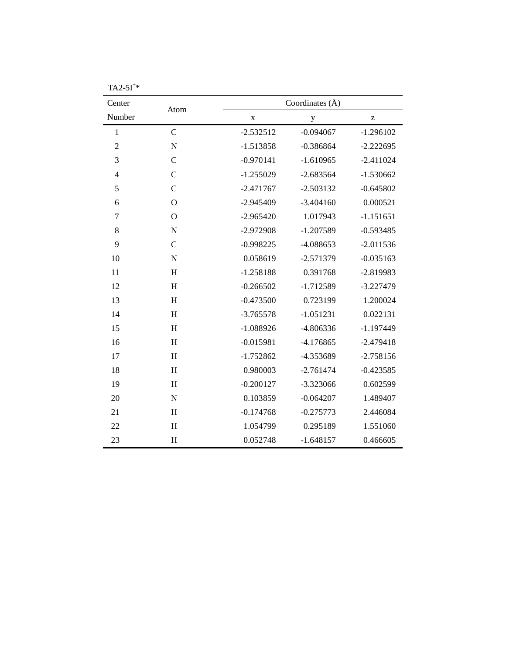| Center         | Atom                      | Coordinates $(\AA)$ |             |              |
|----------------|---------------------------|---------------------|-------------|--------------|
| Number         |                           | $\mathbf X$         | $\mathbf y$ | $\mathbf{Z}$ |
| $\mathbf{1}$   | $\mathcal{C}$             | $-2.532512$         | $-0.094067$ | $-1.296102$  |
| $\overline{2}$ | $\mathbf N$               | $-1.513858$         | $-0.386864$ | $-2.222695$  |
| 3              | $\mathbf C$               | $-0.970141$         | $-1.610965$ | $-2.411024$  |
| $\overline{4}$ | $\mathcal{C}$             | $-1.255029$         | $-2.683564$ | $-1.530662$  |
| 5              | $\mathcal{C}$             | $-2.471767$         | $-2.503132$ | $-0.645802$  |
| 6              | $\mathbf O$               | $-2.945409$         | $-3.404160$ | 0.000521     |
| $\tau$         | $\overline{O}$            | $-2.965420$         | 1.017943    | $-1.151651$  |
| 8              | $\mathbf N$               | $-2.972908$         | $-1.207589$ | $-0.593485$  |
| 9              | $\mathbf C$               | $-0.998225$         | -4.088653   | $-2.011536$  |
| 10             | $\mathbf N$               | 0.058619            | $-2.571379$ | $-0.035163$  |
| 11             | H                         | $-1.258188$         | 0.391768    | -2.819983    |
| 12             | H                         | $-0.266502$         | $-1.712589$ | $-3.227479$  |
| 13             | H                         | $-0.473500$         | 0.723199    | 1.200024     |
| 14             | H                         | $-3.765578$         | $-1.051231$ | 0.022131     |
| 15             | H                         | $-1.088926$         | -4.806336   | $-1.197449$  |
| 16             | H                         | $-0.015981$         | $-4.176865$ | $-2.479418$  |
| 17             | H                         | $-1.752862$         | -4.353689   | $-2.758156$  |
| 18             | $\boldsymbol{\mathrm{H}}$ | 0.980003            | $-2.761474$ | $-0.423585$  |
| 19             | H                         | $-0.200127$         | $-3.323066$ | 0.602599     |
| 20             | $\mathbf N$               | 0.103859            | $-0.064207$ | 1.489407     |
| 21             | H                         | $-0.174768$         | $-0.275773$ | 2.446084     |
| 22             | H                         | 1.054799            | 0.295189    | 1.551060     |
| 23             | H                         | 0.052748            | $-1.648157$ | 0.466605     |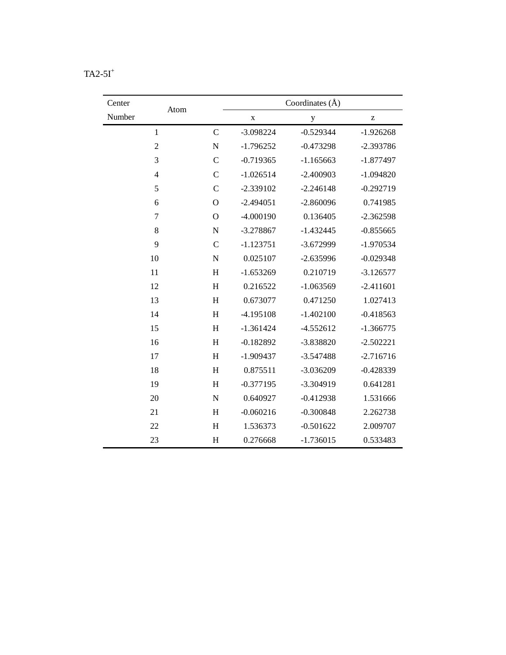| Center |                  |                           |             | Coordinates $(\AA)$ |                    |
|--------|------------------|---------------------------|-------------|---------------------|--------------------|
| Number | Atom             |                           | X           | $\mathbf y$         | $\mathbf{Z}% _{0}$ |
|        | $\mathbf{1}$     | $\mathcal{C}$             | $-3.098224$ | $-0.529344$         | $-1.926268$        |
|        | $\overline{2}$   | ${\bf N}$                 | $-1.796252$ | $-0.473298$         | $-2.393786$        |
|        | 3                | $\mathcal{C}$             | $-0.719365$ | $-1.165663$         | $-1.877497$        |
|        | $\overline{4}$   | $\mathcal{C}$             | $-1.026514$ | $-2.400903$         | $-1.094820$        |
|        | 5                | $\mathcal{C}$             | $-2.339102$ | $-2.246148$         | $-0.292719$        |
|        | 6                | $\mathbf{O}$              | $-2.494051$ | $-2.860096$         | 0.741985           |
|        | $\boldsymbol{7}$ | $\mathbf O$               | $-4.000190$ | 0.136405            | $-2.362598$        |
|        | 8                | ${\bf N}$                 | $-3.278867$ | $-1.432445$         | $-0.855665$        |
|        | 9                | $\overline{C}$            | $-1.123751$ | $-3.672999$         | $-1.970534$        |
| 10     |                  | ${\bf N}$                 | 0.025107    | $-2.635996$         | $-0.029348$        |
| 11     |                  | H                         | $-1.653269$ | 0.210719            | $-3.126577$        |
| 12     |                  | H                         | 0.216522    | $-1.063569$         | $-2.411601$        |
| 13     |                  | H                         | 0.673077    | 0.471250            | 1.027413           |
| 14     |                  | H                         | $-4.195108$ | $-1.402100$         | $-0.418563$        |
| 15     |                  | $\boldsymbol{\mathrm{H}}$ | $-1.361424$ | $-4.552612$         | $-1.366775$        |
| 16     |                  | H                         | $-0.182892$ | -3.838820           | $-2.502221$        |
| 17     |                  | H                         | $-1.909437$ | $-3.547488$         | $-2.716716$        |
| 18     |                  | H                         | 0.875511    | $-3.036209$         | $-0.428339$        |
| 19     |                  | H                         | $-0.377195$ | -3.304919           | 0.641281           |
| 20     |                  | ${\bf N}$                 | 0.640927    | $-0.412938$         | 1.531666           |
| 21     |                  | H                         | $-0.060216$ | $-0.300848$         | 2.262738           |
| 22     |                  | H                         | 1.536373    | $-0.501622$         | 2.009707           |
| 23     |                  | H                         | 0.276668    | $-1.736015$         | 0.533483           |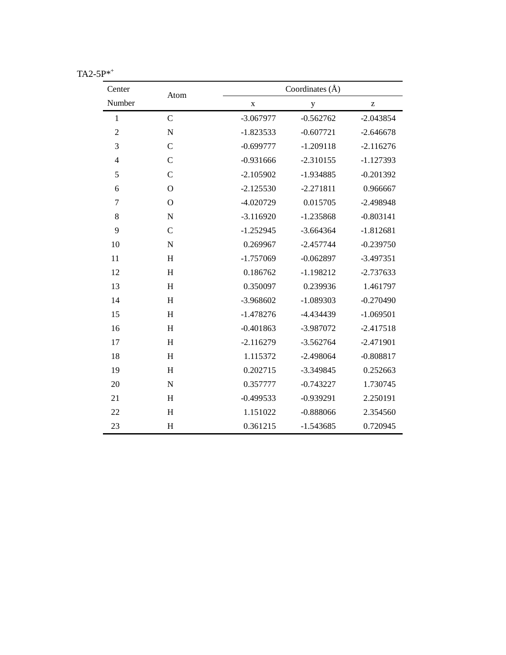| Center         | Atom          | Coordinates (Å) |             |                                                       |  |
|----------------|---------------|-----------------|-------------|-------------------------------------------------------|--|
| Number         |               | $\mathbf X$     | y           | $\mathbf{Z}% ^{T}=\mathbf{Z}^{T}\times\mathbf{Z}^{T}$ |  |
| $\mathbf{1}$   | $\mathbf C$   | $-3.067977$     | $-0.562762$ | $-2.043854$                                           |  |
| $\overline{2}$ | $\mathbf N$   | $-1.823533$     | $-0.607721$ | $-2.646678$                                           |  |
| 3              | $\mathbf C$   | $-0.699777$     | $-1.209118$ | $-2.116276$                                           |  |
| $\overline{4}$ | $\mathcal{C}$ | $-0.931666$     | $-2.310155$ | $-1.127393$                                           |  |
| 5              | $\mathsf{C}$  | $-2.105902$     | $-1.934885$ | $-0.201392$                                           |  |
| 6              | $\Omega$      | $-2.125530$     | $-2.271811$ | 0.966667                                              |  |
| $\tau$         | $\Omega$      | $-4.020729$     | 0.015705    | $-2.498948$                                           |  |
| 8              | ${\bf N}$     | $-3.116920$     | $-1.235868$ | $-0.803141$                                           |  |
| 9              | $\mathsf{C}$  | $-1.252945$     | $-3.664364$ | $-1.812681$                                           |  |
| 10             | $\mathbf N$   | 0.269967        | $-2.457744$ | $-0.239750$                                           |  |
| 11             | H             | $-1.757069$     | $-0.062897$ | $-3.497351$                                           |  |
| 12             | H             | 0.186762        | $-1.198212$ | $-2.737633$                                           |  |
| 13             | H             | 0.350097        | 0.239936    | 1.461797                                              |  |
| 14             | H             | -3.968602       | $-1.089303$ | $-0.270490$                                           |  |
| 15             | H             | $-1.478276$     | -4.434439   | $-1.069501$                                           |  |
| 16             | H             | $-0.401863$     | -3.987072   | $-2.417518$                                           |  |
| 17             | H             | $-2.116279$     | $-3.562764$ | $-2.471901$                                           |  |
| 18             | H             | 1.115372        | $-2.498064$ | $-0.808817$                                           |  |
| 19             | H             | 0.202715        | $-3.349845$ | 0.252663                                              |  |
| 20             | $\mathbf N$   | 0.357777        | $-0.743227$ | 1.730745                                              |  |
| 21             | H             | $-0.499533$     | $-0.939291$ | 2.250191                                              |  |
| 22             | H             | 1.151022        | $-0.888066$ | 2.354560                                              |  |
| 23             | H             | 0.361215        | $-1.543685$ | 0.720945                                              |  |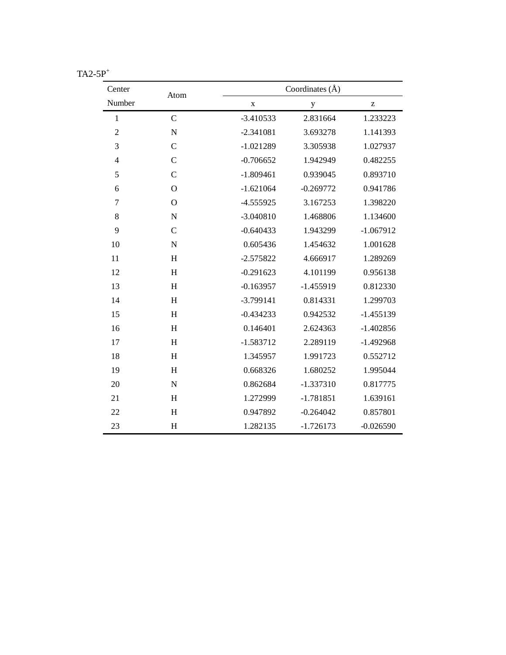| Center         | Atom                      |             | Coordinates $(\AA)$ |                                                       |  |
|----------------|---------------------------|-------------|---------------------|-------------------------------------------------------|--|
| Number         |                           | $\mathbf X$ | y                   | $\mathbf{Z}% ^{T}=\mathbf{Z}^{T}\times\mathbf{Z}^{T}$ |  |
| $\mathbf{1}$   | $\mathsf{C}$              | $-3.410533$ | 2.831664            | 1.233223                                              |  |
| $\overline{c}$ | $\mathbf N$               | $-2.341081$ | 3.693278            | 1.141393                                              |  |
| 3              | $\mathsf{C}$              | $-1.021289$ | 3.305938            | 1.027937                                              |  |
| $\overline{4}$ | $\mathsf{C}$              | $-0.706652$ | 1.942949            | 0.482255                                              |  |
| 5              | $\overline{C}$            | $-1.809461$ | 0.939045            | 0.893710                                              |  |
| 6              | $\mathbf O$               | $-1.621064$ | $-0.269772$         | 0.941786                                              |  |
| $\tau$         | $\Omega$                  | $-4.555925$ | 3.167253            | 1.398220                                              |  |
| $\,8\,$        | ${\bf N}$                 | $-3.040810$ | 1.468806            | 1.134600                                              |  |
| 9              | $\mathsf{C}$              | $-0.640433$ | 1.943299            | $-1.067912$                                           |  |
| 10             | ${\bf N}$                 | 0.605436    | 1.454632            | 1.001628                                              |  |
| 11             | $\boldsymbol{\mathrm{H}}$ | $-2.575822$ | 4.666917            | 1.289269                                              |  |
| 12             | H                         | $-0.291623$ | 4.101199            | 0.956138                                              |  |
| 13             | H                         | $-0.163957$ | $-1.455919$         | 0.812330                                              |  |
| 14             | H                         | $-3.799141$ | 0.814331            | 1.299703                                              |  |
| 15             | H                         | $-0.434233$ | 0.942532            | $-1.455139$                                           |  |
| 16             | H                         | 0.146401    | 2.624363            | $-1.402856$                                           |  |
| 17             | H                         | $-1.583712$ | 2.289119            | $-1.492968$                                           |  |
| 18             | H                         | 1.345957    | 1.991723            | 0.552712                                              |  |
| 19             | H                         | 0.668326    | 1.680252            | 1.995044                                              |  |
| 20             | $\mathbf N$               | 0.862684    | $-1.337310$         | 0.817775                                              |  |
| 21             | H                         | 1.272999    | $-1.781851$         | 1.639161                                              |  |
| 22             | H                         | 0.947892    | $-0.264042$         | 0.857801                                              |  |
| 23             | H                         | 1.282135    | $-1.726173$         | $-0.026590$                                           |  |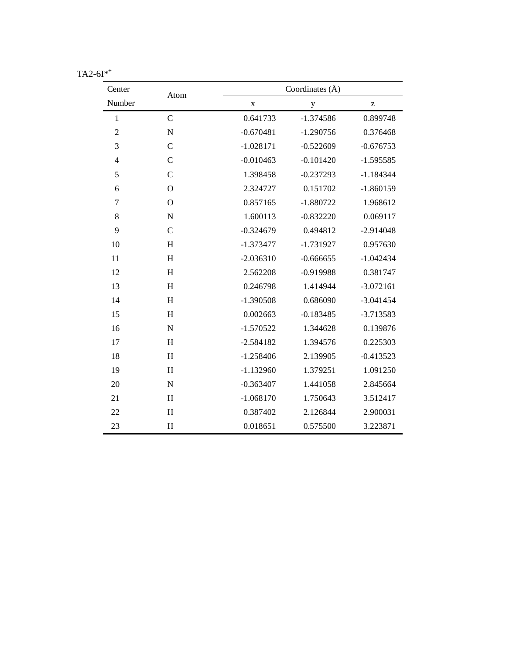| Center         | Atom                      |             | Coordinates $(\AA)$ |                                                       |  |
|----------------|---------------------------|-------------|---------------------|-------------------------------------------------------|--|
| Number         |                           | $\mathbf X$ | y                   | $\mathbf{Z}% ^{T}=\mathbf{Z}^{T}\times\mathbf{Z}^{T}$ |  |
| $\mathbf{1}$   | $\mathsf{C}$              | 0.641733    | $-1.374586$         | 0.899748                                              |  |
| $\overline{2}$ | ${\bf N}$                 | $-0.670481$ | $-1.290756$         | 0.376468                                              |  |
| 3              | $\mathsf{C}$              | $-1.028171$ | $-0.522609$         | $-0.676753$                                           |  |
| $\overline{4}$ | $\mathsf{C}$              | $-0.010463$ | $-0.101420$         | $-1.595585$                                           |  |
| 5              | $\mathsf{C}$              | 1.398458    | $-0.237293$         | $-1.184344$                                           |  |
| 6              | $\mathbf O$               | 2.324727    | 0.151702            | $-1.860159$                                           |  |
| $\overline{7}$ | $\mathbf O$               | 0.857165    | $-1.880722$         | 1.968612                                              |  |
| 8              | ${\bf N}$                 | 1.600113    | $-0.832220$         | 0.069117                                              |  |
| 9              | $\mathsf{C}$              | $-0.324679$ | 0.494812            | $-2.914048$                                           |  |
| 10             | $\boldsymbol{\mathrm{H}}$ | $-1.373477$ | $-1.731927$         | 0.957630                                              |  |
| 11             | $\boldsymbol{\mathrm{H}}$ | $-2.036310$ | $-0.666655$         | $-1.042434$                                           |  |
| 12             | $\boldsymbol{\mathrm{H}}$ | 2.562208    | $-0.919988$         | 0.381747                                              |  |
| 13             | H                         | 0.246798    | 1.414944            | $-3.072161$                                           |  |
| 14             | $\boldsymbol{\mathrm{H}}$ | $-1.390508$ | 0.686090            | $-3.041454$                                           |  |
| 15             | H                         | 0.002663    | $-0.183485$         | $-3.713583$                                           |  |
| 16             | $\mathbf N$               | $-1.570522$ | 1.344628            | 0.139876                                              |  |
| 17             | $\boldsymbol{\mathrm{H}}$ | $-2.584182$ | 1.394576            | 0.225303                                              |  |
| 18             | H                         | $-1.258406$ | 2.139905            | $-0.413523$                                           |  |
| 19             | H                         | $-1.132960$ | 1.379251            | 1.091250                                              |  |
| 20             | $\mathbf N$               | $-0.363407$ | 1.441058            | 2.845664                                              |  |
| 21             | H                         | $-1.068170$ | 1.750643            | 3.512417                                              |  |
| 22             | H                         | 0.387402    | 2.126844            | 2.900031                                              |  |
| 23             | H                         | 0.018651    | 0.575500            | 3.223871                                              |  |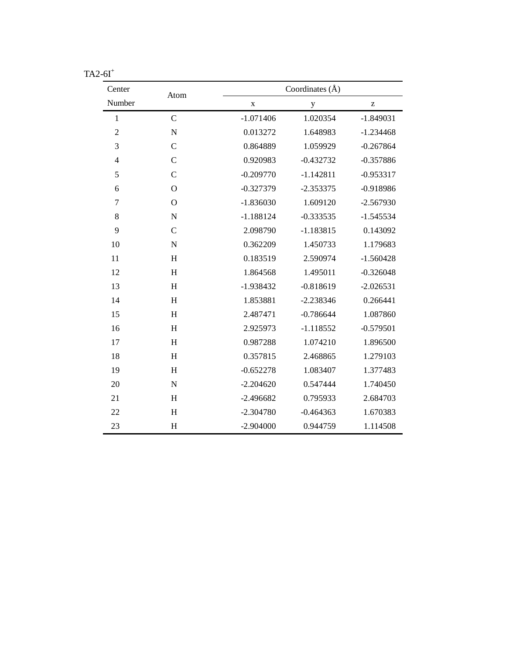| Center         | Atom           |             | Coordinates (Å) |             |  |
|----------------|----------------|-------------|-----------------|-------------|--|
| Number         |                | $\mathbf X$ | y               | Z           |  |
| $\mathbf{1}$   | $\mathsf{C}$   | $-1.071406$ | 1.020354        | $-1.849031$ |  |
| $\overline{2}$ | $\mathbf N$    | 0.013272    | 1.648983        | $-1.234468$ |  |
| 3              | $\mathcal{C}$  | 0.864889    | 1.059929        | $-0.267864$ |  |
| $\overline{4}$ | $\overline{C}$ | 0.920983    | $-0.432732$     | $-0.357886$ |  |
| 5              | $\mathbf C$    | $-0.209770$ | $-1.142811$     | $-0.953317$ |  |
| 6              | $\mathbf O$    | $-0.327379$ | $-2.353375$     | $-0.918986$ |  |
| $\tau$         | $\mathbf O$    | $-1.836030$ | 1.609120        | $-2.567930$ |  |
| 8              | $\mathbf N$    | $-1.188124$ | $-0.333535$     | $-1.545534$ |  |
| 9              | $\mathbf C$    | 2.098790    | $-1.183815$     | 0.143092    |  |
| 10             | ${\bf N}$      | 0.362209    | 1.450733        | 1.179683    |  |
| 11             | H              | 0.183519    | 2.590974        | $-1.560428$ |  |
| 12             | H              | 1.864568    | 1.495011        | $-0.326048$ |  |
| 13             | H              | $-1.938432$ | $-0.818619$     | $-2.026531$ |  |
| 14             | H              | 1.853881    | $-2.238346$     | 0.266441    |  |
| 15             | H              | 2.487471    | $-0.786644$     | 1.087860    |  |
| 16             | H              | 2.925973    | $-1.118552$     | $-0.579501$ |  |
| 17             | H              | 0.987288    | 1.074210        | 1.896500    |  |
| 18             | H              | 0.357815    | 2.468865        | 1.279103    |  |
| 19             | H              | $-0.652278$ | 1.083407        | 1.377483    |  |
| 20             | ${\bf N}$      | $-2.204620$ | 0.547444        | 1.740450    |  |
| 21             | H              | $-2.496682$ | 0.795933        | 2.684703    |  |
| 22             | H              | $-2.304780$ | $-0.464363$     | 1.670383    |  |
| 23             | H              | $-2.904000$ | 0.944759        | 1.114508    |  |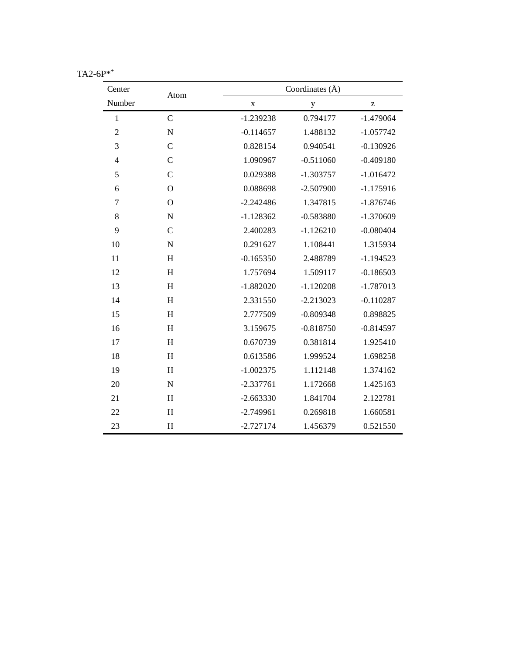| Center         | Atom                      | Coordinates (Å) |             |                                                       |
|----------------|---------------------------|-----------------|-------------|-------------------------------------------------------|
| Number         |                           | $\mathbf X$     | $\mathbf y$ | $\mathbf{Z}% ^{T}=\mathbf{Z}^{T}\times\mathbf{Z}^{T}$ |
| $\mathbf{1}$   | $\mathbf C$               | $-1.239238$     | 0.794177    | $-1.479064$                                           |
| $\overline{2}$ | $\mathbf N$               | $-0.114657$     | 1.488132    | $-1.057742$                                           |
| 3              | $\overline{C}$            | 0.828154        | 0.940541    | $-0.130926$                                           |
| $\overline{4}$ | $\mathbf C$               | 1.090967        | $-0.511060$ | $-0.409180$                                           |
| 5              | $\mathsf{C}$              | 0.029388        | $-1.303757$ | $-1.016472$                                           |
| 6              | $\mathbf O$               | 0.088698        | $-2.507900$ | $-1.175916$                                           |
| $\overline{7}$ | $\mathbf O$               | $-2.242486$     | 1.347815    | $-1.876746$                                           |
| 8              | $\mathbf N$               | $-1.128362$     | $-0.583880$ | $-1.370609$                                           |
| 9              | $\mathsf{C}$              | 2.400283        | $-1.126210$ | $-0.080404$                                           |
| 10             | ${\bf N}$                 | 0.291627        | 1.108441    | 1.315934                                              |
| 11             | $\boldsymbol{\mathrm{H}}$ | $-0.165350$     | 2.488789    | $-1.194523$                                           |
| 12             | $\boldsymbol{\mathrm{H}}$ | 1.757694        | 1.509117    | $-0.186503$                                           |
| 13             | H                         | $-1.882020$     | $-1.120208$ | $-1.787013$                                           |
| 14             | $\boldsymbol{\mathrm{H}}$ | 2.331550        | $-2.213023$ | $-0.110287$                                           |
| 15             | H                         | 2.777509        | $-0.809348$ | 0.898825                                              |
| 16             | H                         | 3.159675        | $-0.818750$ | $-0.814597$                                           |
| 17             | H                         | 0.670739        | 0.381814    | 1.925410                                              |
| 18             | H                         | 0.613586        | 1.999524    | 1.698258                                              |
| 19             | H                         | $-1.002375$     | 1.112148    | 1.374162                                              |
| 20             | $\mathbf N$               | $-2.337761$     | 1.172668    | 1.425163                                              |
| 21             | H                         | $-2.663330$     | 1.841704    | 2.122781                                              |
| 22             | H                         | $-2.749961$     | 0.269818    | 1.660581                                              |
| 23             | H                         | $-2.727174$     | 1.456379    | 0.521550                                              |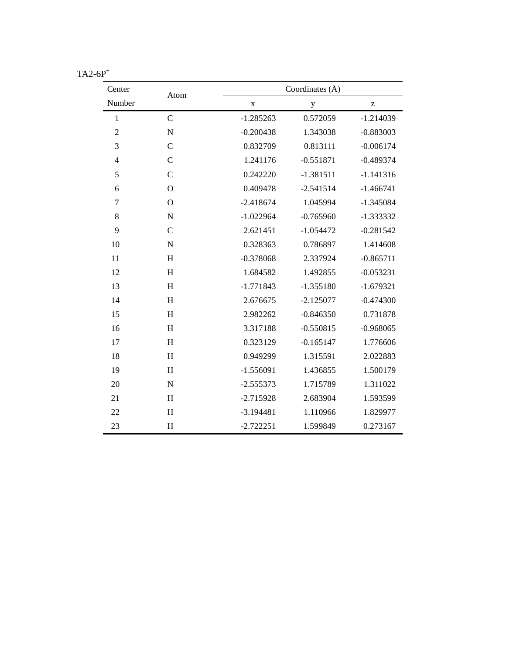| Center         | Coordinates $(\AA)$<br>Atom |             |             |             |
|----------------|-----------------------------|-------------|-------------|-------------|
| Number         |                             | $\mathbf X$ | y           | Z           |
| $\mathbf{1}$   | $\overline{C}$              | $-1.285263$ | 0.572059    | $-1.214039$ |
| $\overline{2}$ | $\mathbf N$                 | $-0.200438$ | 1.343038    | $-0.883003$ |
| 3              | $\overline{C}$              | 0.832709    | 0.813111    | $-0.006174$ |
| $\overline{4}$ | $\mathcal{C}$               | 1.241176    | $-0.551871$ | $-0.489374$ |
| 5              | $\mathbf C$                 | 0.242220    | $-1.381511$ | $-1.141316$ |
| 6              | $\mathbf O$                 | 0.409478    | $-2.541514$ | $-1.466741$ |
| $\overline{7}$ | $\mathbf O$                 | $-2.418674$ | 1.045994    | $-1.345084$ |
| 8              | ${\bf N}$                   | $-1.022964$ | $-0.765960$ | $-1.333332$ |
| 9              | $\mathbf C$                 | 2.621451    | $-1.054472$ | $-0.281542$ |
| 10             | ${\bf N}$                   | 0.328363    | 0.786897    | 1.414608    |
| 11             | $\boldsymbol{\mathrm{H}}$   | $-0.378068$ | 2.337924    | $-0.865711$ |
| 12             | $\boldsymbol{\mathrm{H}}$   | 1.684582    | 1.492855    | $-0.053231$ |
| 13             | H                           | $-1.771843$ | $-1.355180$ | $-1.679321$ |
| 14             | $\, {\rm H}$                | 2.676675    | $-2.125077$ | $-0.474300$ |
| 15             | H                           | 2.982262    | $-0.846350$ | 0.731878    |
| 16             | H                           | 3.317188    | $-0.550815$ | $-0.968065$ |
| 17             | H                           | 0.323129    | $-0.165147$ | 1.776606    |
| 18             | $\boldsymbol{\mathrm{H}}$   | 0.949299    | 1.315591    | 2.022883    |
| 19             | H                           | $-1.556091$ | 1.436855    | 1.500179    |
| 20             | $\mathbf N$                 | $-2.555373$ | 1.715789    | 1.311022    |
| 21             | H                           | $-2.715928$ | 2.683904    | 1.593599    |
| 22             | H                           | $-3.194481$ | 1.110966    | 1.829977    |
| 23             | H                           | $-2.722251$ | 1.599849    | 0.273167    |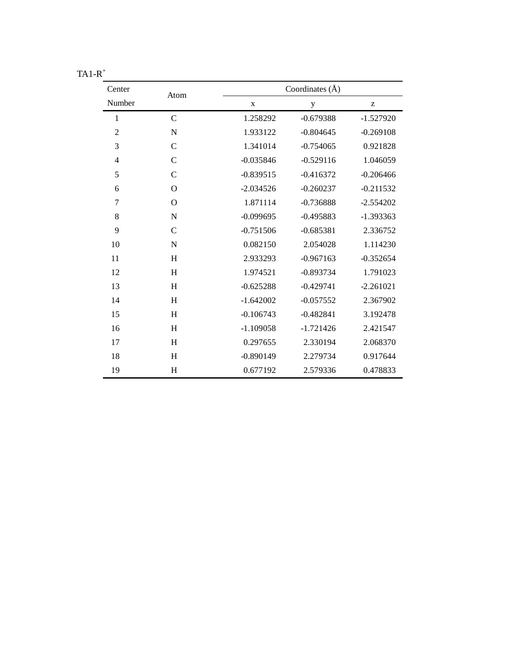| Center         | Coordinates (Å)<br>Atom |             |             |             |
|----------------|-------------------------|-------------|-------------|-------------|
| Number         |                         | X           | $\mathbf y$ | z           |
| $\mathbf{1}$   | $\mathcal{C}$           | 1.258292    | $-0.679388$ | $-1.527920$ |
| $\overline{2}$ | $\mathbf N$             | 1.933122    | $-0.804645$ | $-0.269108$ |
| 3              | $\mathsf{C}$            | 1.341014    | $-0.754065$ | 0.921828    |
| $\overline{4}$ | $\mathsf{C}$            | $-0.035846$ | $-0.529116$ | 1.046059    |
| 5              | $\mathsf{C}$            | $-0.839515$ | $-0.416372$ | $-0.206466$ |
| 6              | $\Omega$                | $-2.034526$ | $-0.260237$ | $-0.211532$ |
| 7              | $\Omega$                | 1.871114    | $-0.736888$ | $-2.554202$ |
| 8              | $\mathbf N$             | $-0.099695$ | $-0.495883$ | $-1.393363$ |
| 9              | $\mathsf{C}$            | $-0.751506$ | $-0.685381$ | 2.336752    |
| 10             | $\mathbf N$             | 0.082150    | 2.054028    | 1.114230    |
| 11             | H                       | 2.933293    | $-0.967163$ | $-0.352654$ |
| 12             | H                       | 1.974521    | $-0.893734$ | 1.791023    |
| 13             | H                       | $-0.625288$ | $-0.429741$ | $-2.261021$ |
| 14             | H                       | $-1.642002$ | $-0.057552$ | 2.367902    |
| 15             | H                       | $-0.106743$ | $-0.482841$ | 3.192478    |
| 16             | H                       | $-1.109058$ | $-1.721426$ | 2.421547    |
| 17             | H                       | 0.297655    | 2.330194    | 2.068370    |
| 18             | H                       | $-0.890149$ | 2.279734    | 0.917644    |
| 19             | H                       | 0.677192    | 2.579336    | 0.478833    |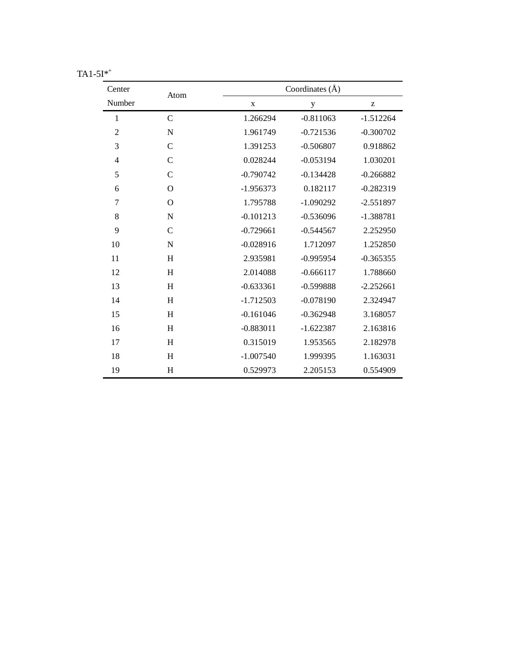| Center         | Atom          | Coordinates $(\AA)$ |             |             |
|----------------|---------------|---------------------|-------------|-------------|
| Number         |               | $\mathbf X$         | $\mathbf y$ | z           |
| $\mathbf{1}$   | $\mathsf{C}$  | 1.266294            | $-0.811063$ | $-1.512264$ |
| $\overline{2}$ | N             | 1.961749            | $-0.721536$ | $-0.300702$ |
| 3              | $\mathcal{C}$ | 1.391253            | $-0.506807$ | 0.918862    |
| $\overline{4}$ | $\mathsf{C}$  | 0.028244            | $-0.053194$ | 1.030201    |
| 5              | $\mathsf{C}$  | $-0.790742$         | $-0.134428$ | $-0.266882$ |
| 6              | $\mathbf O$   | $-1.956373$         | 0.182117    | $-0.282319$ |
| $\tau$         | $\mathbf O$   | 1.795788            | $-1.090292$ | $-2.551897$ |
| 8              | N             | $-0.101213$         | $-0.536096$ | $-1.388781$ |
| 9              | $\mathsf{C}$  | $-0.729661$         | $-0.544567$ | 2.252950    |
| 10             | N             | $-0.028916$         | 1.712097    | 1.252850    |
| 11             | H             | 2.935981            | $-0.995954$ | $-0.365355$ |
| 12             | H             | 2.014088            | $-0.666117$ | 1.788660    |
| 13             | H             | $-0.633361$         | $-0.599888$ | $-2.252661$ |
| 14             | H             | $-1.712503$         | $-0.078190$ | 2.324947    |
| 15             | H             | $-0.161046$         | $-0.362948$ | 3.168057    |
| 16             | H             | $-0.883011$         | $-1.622387$ | 2.163816    |
| 17             | H             | 0.315019            | 1.953565    | 2.182978    |
| 18             | H             | $-1.007540$         | 1.999395    | 1.163031    |
| 19             | H             | 0.529973            | 2.205153    | 0.554909    |